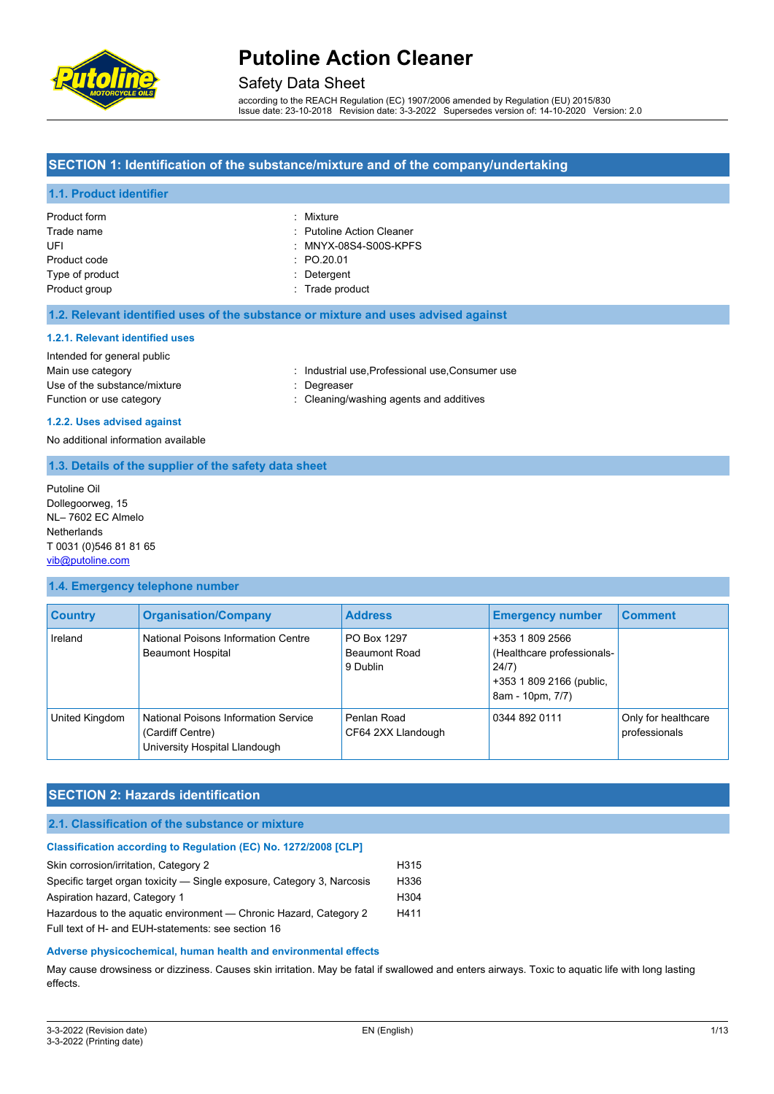

### Safety Data Sheet

according to the REACH Regulation (EC) 1907/2006 amended by Regulation (EU) 2015/830 Issue date: 23-10-2018 Revision date: 3-3-2022 Supersedes version of: 14-10-2020 Version: 2.0

### **SECTION 1: Identification of the substance/mixture and of the company/undertaking**

#### **1.1. Product identifier**

| Product form    | : Mixture                        |
|-----------------|----------------------------------|
| Trade name      | : Putoline Action Cleaner        |
| UFI             | $\therefore$ MNYX-08S4-S00S-KPFS |
| Product code    | : PO.20.01                       |
| Type of product | : Detergent                      |
| Product group   | : Trade product                  |

#### **1.2. Relevant identified uses of the substance or mixture and uses advised against**

#### **1.2.1. Relevant identified uses**

# Intended for general public Use of the substance/mixture in the substance/mixture in the substance of the substance of the substance of the substance of the substance of the substance of the substance of the substance of the substance of the substanc

Main use category **industrial use, Professional use, Consumer use** industrial use, Professional use, Consumer use

- 
- Function or use category **interest and according** : Cleaning/washing agents and additives

#### **1.2.2. Uses advised against**

No additional information available

#### **1.3. Details of the supplier of the safety data sheet**

Putoline Oil Dollegoorweg, 15 NL– 7602 EC Almelo **Netherlands** T 0031 (0)546 81 81 65 [vib@putoline.com](mailto:vib@putoline.com)

#### **1.4. Emergency telephone number**

| <b>Country</b> | <b>Organisation/Company</b>                                                               | <b>Address</b>                                  | <b>Emergency number</b>                                                                                | <b>Comment</b>                       |
|----------------|-------------------------------------------------------------------------------------------|-------------------------------------------------|--------------------------------------------------------------------------------------------------------|--------------------------------------|
| Ireland        | National Poisons Information Centre<br><b>Beaumont Hospital</b>                           | PO Box 1297<br><b>Beaumont Road</b><br>9 Dublin | +353 1 809 2566<br>(Healthcare professionals-<br>24/7)<br>+353 1 809 2166 (public,<br>8am - 10pm, 7/7) |                                      |
| United Kingdom | National Poisons Information Service<br>(Cardiff Centre)<br>University Hospital Llandough | Penlan Road<br>CF64 2XX Llandough               | 0344 892 0111                                                                                          | Only for healthcare<br>professionals |

#### **SECTION 2: Hazards identification**

#### **2.1. Classification of the substance or mixture**

| Classification according to Regulation (EC) No. 1272/2008 [CLP]        |                  |
|------------------------------------------------------------------------|------------------|
| Skin corrosion/irritation, Category 2                                  | H <sub>315</sub> |
| Specific target organ toxicity — Single exposure, Category 3, Narcosis | H <sub>336</sub> |
| Aspiration hazard, Category 1                                          | H <sub>304</sub> |
| Hazardous to the aquatic environment - Chronic Hazard, Category 2      | H411             |
| Full text of H- and EUH-statements: see section 16                     |                  |
|                                                                        |                  |

#### **Adverse physicochemical, human health and environmental effects**

May cause drowsiness or dizziness. Causes skin irritation. May be fatal if swallowed and enters airways. Toxic to aquatic life with long lasting effects.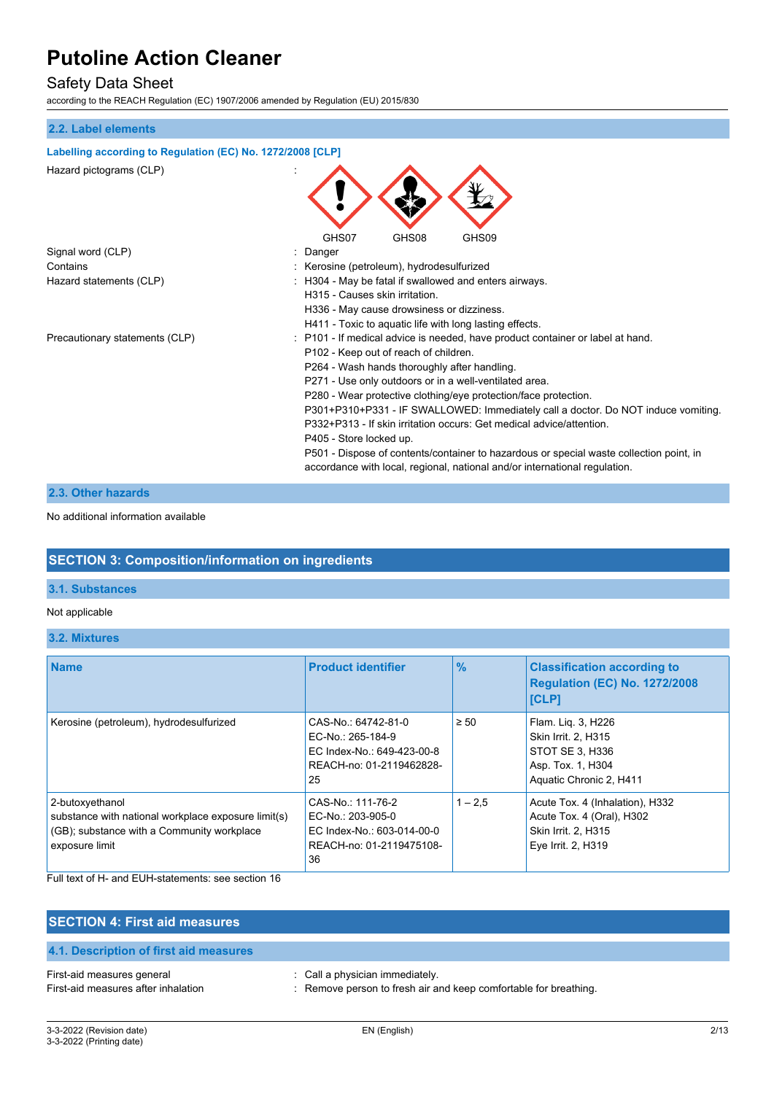## Safety Data Sheet

according to the REACH Regulation (EC) 1907/2006 amended by Regulation (EU) 2015/830

#### **2.2. Label elements**

#### **Labelling according to Regulation (EC) No. 1272/2008 [CLP]**

| Hazard pictograms (CLP)        |                                                                                         |
|--------------------------------|-----------------------------------------------------------------------------------------|
|                                | GHS08<br>GHS07<br>GHS09                                                                 |
| Signal word (CLP)              | Danger                                                                                  |
| Contains                       | Kerosine (petroleum), hydrodesulfurized                                                 |
| Hazard statements (CLP)        | H304 - May be fatal if swallowed and enters airways.                                    |
|                                | H315 - Causes skin irritation.                                                          |
|                                | H336 - May cause drowsiness or dizziness.                                               |
|                                | H411 - Toxic to aquatic life with long lasting effects.                                 |
| Precautionary statements (CLP) | P101 - If medical advice is needed, have product container or label at hand.            |
|                                | P102 - Keep out of reach of children.                                                   |
|                                | P264 - Wash hands thoroughly after handling.                                            |
|                                | P271 - Use only outdoors or in a well-ventilated area.                                  |
|                                | P280 - Wear protective clothing/eye protection/face protection.                         |
|                                | P301+P310+P331 - IF SWALLOWED: Immediately call a doctor. Do NOT induce vomiting.       |
|                                | P332+P313 - If skin irritation occurs: Get medical advice/attention.                    |
|                                | P405 - Store locked up.                                                                 |
|                                | P501 - Dispose of contents/container to hazardous or special waste collection point, in |
|                                | accordance with local, regional, national and/or international regulation.              |

### **2.3. Other hazards**

No additional information available

## **SECTION 3: Composition/information on ingredients**

### **3.1. Substances**

#### Not applicable

**3.2. Mixtures**

| <b>Name</b>                                                                                                                            | <b>Product identifier</b>                                                                                | $\frac{9}{6}$ | <b>Classification according to</b><br><b>Regulation (EC) No. 1272/2008</b><br><b>[CLP]</b>                   |
|----------------------------------------------------------------------------------------------------------------------------------------|----------------------------------------------------------------------------------------------------------|---------------|--------------------------------------------------------------------------------------------------------------|
| Kerosine (petroleum), hydrodesulfurized                                                                                                | CAS-No.: 64742-81-0<br>EC-No.: 265-184-9<br>EC Index-No.: 649-423-00-8<br>REACH-no: 01-2119462828-<br>25 | $\geq 50$     | Flam. Lig. 3, H226<br>Skin Irrit. 2, H315<br>STOT SE 3, H336<br>Asp. Tox. 1, H304<br>Aquatic Chronic 2, H411 |
| 2-butoxyethanol<br>substance with national workplace exposure limit(s)<br>(GB); substance with a Community workplace<br>exposure limit | CAS-No.: 111-76-2<br>EC-No.: 203-905-0<br>EC Index-No.: 603-014-00-0<br>REACH-no: 01-2119475108-<br>36   | $1 - 2.5$     | Acute Tox. 4 (Inhalation), H332<br>Acute Tox. 4 (Oral), H302<br>Skin Irrit. 2, H315<br>Eye Irrit. 2, H319    |

Full text of H- and EUH-statements: see section 16

| <b>SECTION 4: First aid measures</b>                              |                                                                                                     |
|-------------------------------------------------------------------|-----------------------------------------------------------------------------------------------------|
| 4.1. Description of first aid measures                            |                                                                                                     |
| First-aid measures general<br>First-aid measures after inhalation | : Call a physician immediately.<br>: Remove person to fresh air and keep comfortable for breathing. |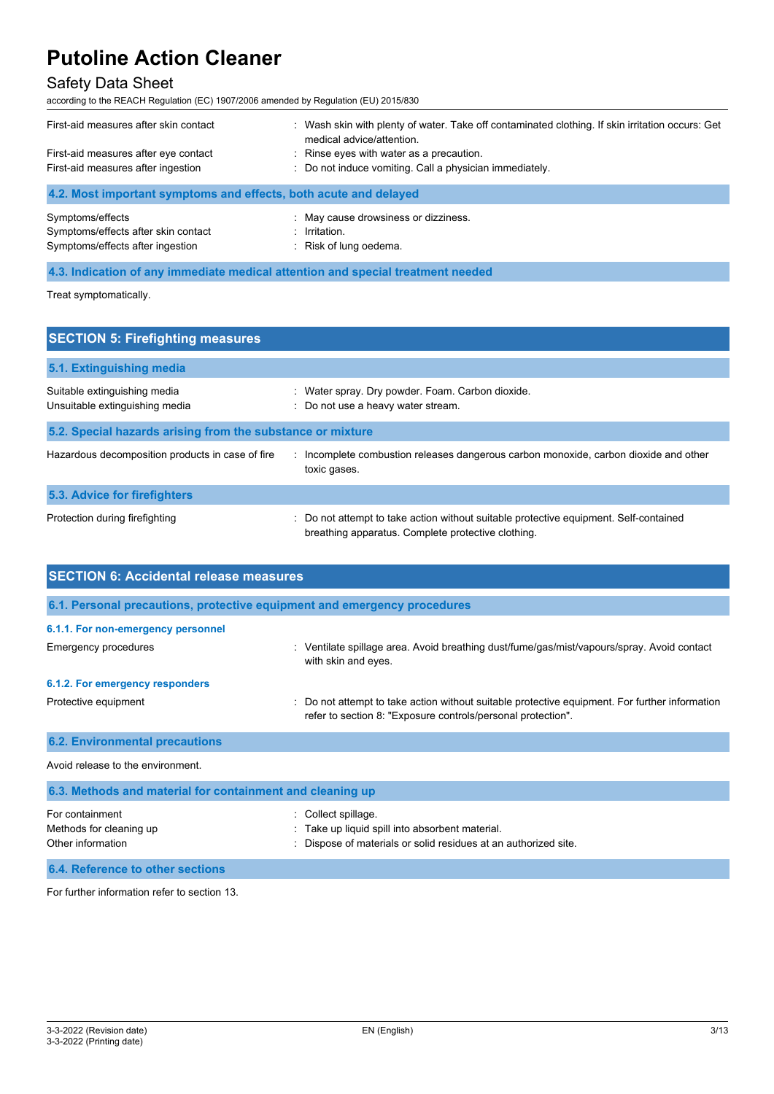## Safety Data Sheet

according to the REACH Regulation (EC) 1907/2006 amended by Regulation (EU) 2015/830

| First-aid measures after skin contact                            | Wash skin with plenty of water. Take off contaminated clothing. If skin irritation occurs: Get<br>medical advice/attention. |
|------------------------------------------------------------------|-----------------------------------------------------------------------------------------------------------------------------|
| First-aid measures after eye contact                             | : Rinse eyes with water as a precaution.                                                                                    |
| First-aid measures after ingestion                               | : Do not induce vomiting. Call a physician immediately.                                                                     |
| 4.2. Most important symptoms and effects, both acute and delayed |                                                                                                                             |
| Symptoms/effects                                                 | : May cause drowsiness or dizziness.                                                                                        |
| Symptoms/effects after skin contact                              | $:$ Irritation.                                                                                                             |
| Symptoms/effects after ingestion                                 | : Risk of lung oedema.                                                                                                      |

**4.3. Indication of any immediate medical attention and special treatment needed**

Methods for cleaning up **interpretional** : Take up liquid spill into absorbent material.

Treat symptomatically.

| <b>SECTION 5: Firefighting measures</b>                        |                                                                                                                                             |
|----------------------------------------------------------------|---------------------------------------------------------------------------------------------------------------------------------------------|
| 5.1. Extinguishing media                                       |                                                                                                                                             |
| Suitable extinguishing media<br>Unsuitable extinguishing media | : Water spray. Dry powder. Foam. Carbon dioxide.<br>: Do not use a heavy water stream.                                                      |
| 5.2. Special hazards arising from the substance or mixture     |                                                                                                                                             |
| Hazardous decomposition products in case of fire               | : Incomplete combustion releases dangerous carbon monoxide, carbon dioxide and other<br>toxic gases.                                        |
| <b>5.3. Advice for firefighters</b>                            |                                                                                                                                             |
| Protection during firefighting                                 | : Do not attempt to take action without suitable protective equipment. Self-contained<br>breathing apparatus. Complete protective clothing. |

| <b>SECTION 6: Accidental release measures</b>                            |                                                                                                                                                                |  |
|--------------------------------------------------------------------------|----------------------------------------------------------------------------------------------------------------------------------------------------------------|--|
| 6.1. Personal precautions, protective equipment and emergency procedures |                                                                                                                                                                |  |
| 6.1.1. For non-emergency personnel                                       |                                                                                                                                                                |  |
| Emergency procedures                                                     | Ventilate spillage area. Avoid breathing dust/fume/gas/mist/vapours/spray. Avoid contact<br>t.<br>with skin and eyes.                                          |  |
| 6.1.2. For emergency responders                                          |                                                                                                                                                                |  |
| Protective equipment                                                     | : Do not attempt to take action without suitable protective equipment. For further information<br>refer to section 8: "Exposure controls/personal protection". |  |
| <b>6.2. Environmental precautions</b>                                    |                                                                                                                                                                |  |
| Avoid release to the environment                                         |                                                                                                                                                                |  |
| 6.3. Methods and material for containment and cleaning up                |                                                                                                                                                                |  |
| For containment                                                          | Collect spillage.                                                                                                                                              |  |

| Other information | : Dispose of materials or solid residues at an authorized site. |
|-------------------|-----------------------------------------------------------------|
|                   |                                                                 |

**6.4. Reference to other sections**

For further information refer to section 13.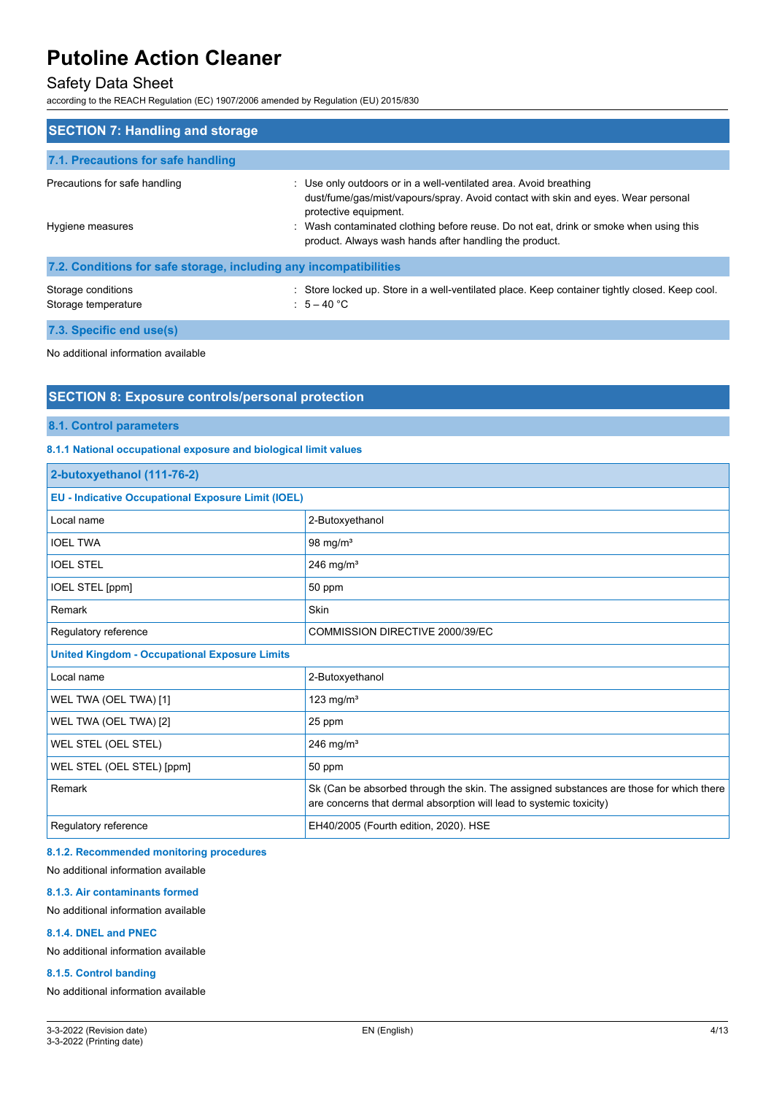## Safety Data Sheet

according to the REACH Regulation (EC) 1907/2006 amended by Regulation (EU) 2015/830

| <b>SECTION 7: Handling and storage</b>                            |                                                                                                                                                                                                                                                                                                                                  |  |
|-------------------------------------------------------------------|----------------------------------------------------------------------------------------------------------------------------------------------------------------------------------------------------------------------------------------------------------------------------------------------------------------------------------|--|
| 7.1. Precautions for safe handling                                |                                                                                                                                                                                                                                                                                                                                  |  |
| Precautions for safe handling<br>Hygiene measures                 | : Use only outdoors or in a well-ventilated area. Avoid breathing<br>dust/fume/gas/mist/vapours/spray. Avoid contact with skin and eyes. Wear personal<br>protective equipment.<br>Wash contaminated clothing before reuse. Do not eat, drink or smoke when using this<br>product. Always wash hands after handling the product. |  |
| 7.2. Conditions for safe storage, including any incompatibilities |                                                                                                                                                                                                                                                                                                                                  |  |
| Storage conditions<br>Storage temperature                         | Store locked up. Store in a well-ventilated place. Keep container tightly closed. Keep cool.<br>$5 - 40$ °C                                                                                                                                                                                                                      |  |

**7.3. Specific end use(s)**

No additional information available

### **SECTION 8: Exposure controls/personal protection**

**8.1. Control parameters**

#### **8.1.1 National occupational exposure and biological limit values**

| 2-butoxyethanol (111-76-2)                                |                                                                                                                                                                |  |
|-----------------------------------------------------------|----------------------------------------------------------------------------------------------------------------------------------------------------------------|--|
| <b>EU - Indicative Occupational Exposure Limit (IOEL)</b> |                                                                                                                                                                |  |
| Local name                                                | 2-Butoxyethanol                                                                                                                                                |  |
| <b>IOEL TWA</b>                                           | 98 mg/ $m3$                                                                                                                                                    |  |
| <b>IOEL STEL</b>                                          | 246 mg/ $m3$                                                                                                                                                   |  |
| IOEL STEL [ppm]                                           | 50 ppm                                                                                                                                                         |  |
| Remark                                                    | Skin                                                                                                                                                           |  |
| Regulatory reference                                      | COMMISSION DIRECTIVE 2000/39/EC                                                                                                                                |  |
| <b>United Kingdom - Occupational Exposure Limits</b>      |                                                                                                                                                                |  |
| Local name                                                | 2-Butoxyethanol                                                                                                                                                |  |
| WEL TWA (OEL TWA) [1]                                     | 123 mg/ $m3$                                                                                                                                                   |  |
| WEL TWA (OEL TWA) [2]                                     | 25 ppm                                                                                                                                                         |  |
| WEL STEL (OEL STEL)                                       | 246 mg/ $m3$                                                                                                                                                   |  |
| WEL STEL (OEL STEL) [ppm]                                 | 50 ppm                                                                                                                                                         |  |
| Remark                                                    | Sk (Can be absorbed through the skin. The assigned substances are those for which there<br>are concerns that dermal absorption will lead to systemic toxicity) |  |
| Regulatory reference                                      | EH40/2005 (Fourth edition, 2020). HSE                                                                                                                          |  |

#### **8.1.2. Recommended monitoring procedures**

No additional information available

#### **8.1.3. Air contaminants formed**

No additional information available

#### **8.1.4. DNEL and PNEC**

No additional information available

#### **8.1.5. Control banding**

No additional information available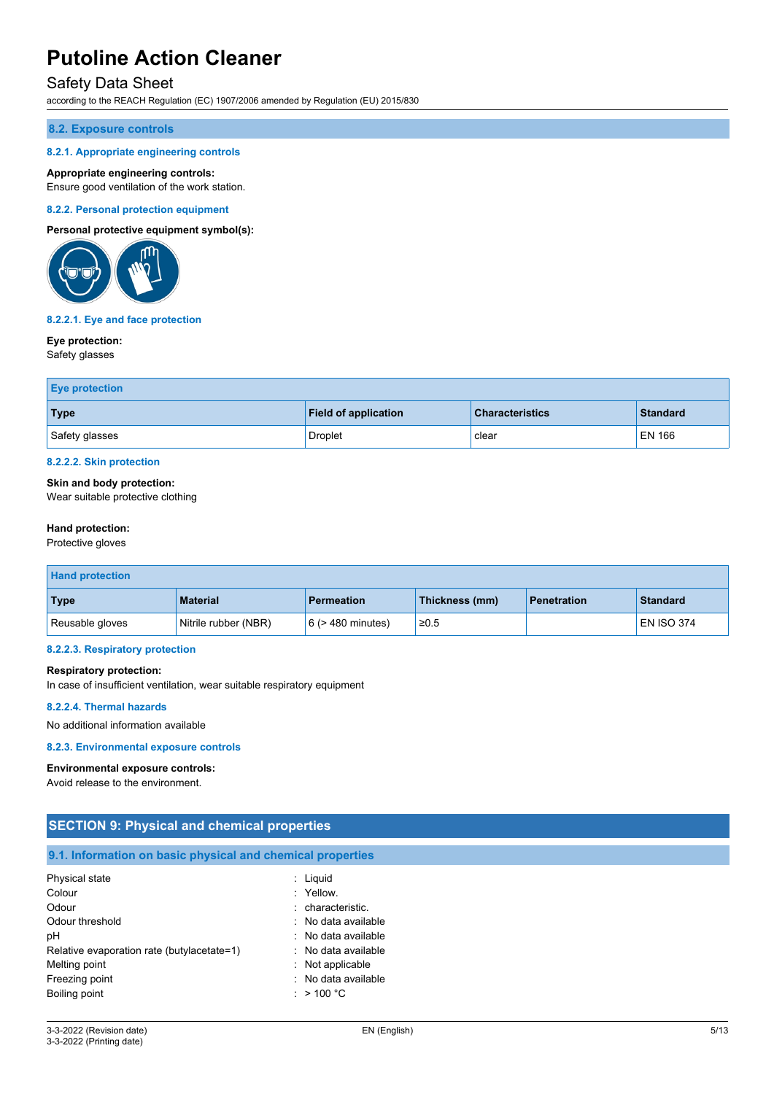### Safety Data Sheet

according to the REACH Regulation (EC) 1907/2006 amended by Regulation (EU) 2015/830

#### **8.2. Exposure controls**

#### **8.2.1. Appropriate engineering controls**

#### **Appropriate engineering controls:**

Ensure good ventilation of the work station.

#### **8.2.2. Personal protection equipment**

#### **Personal protective equipment symbol(s):**



#### **8.2.2.1. Eye and face protection**

#### **Eye protection:**

Safety glasses

| <b>Eye protection</b> |                             |                        |                 |
|-----------------------|-----------------------------|------------------------|-----------------|
| <b>Type</b>           | <b>Field of application</b> | <b>Characteristics</b> | <b>Standard</b> |
| Safety glasses        | <b>Droplet</b>              | clear                  | <b>EN 166</b>   |

#### **8.2.2.2. Skin protection**

#### **Skin and body protection:**

Wear suitable protective clothing

#### **Hand protection:**

Protective gloves

| <b>Hand protection</b> |                      |                        |                |                    |                   |
|------------------------|----------------------|------------------------|----------------|--------------------|-------------------|
| <b>Type</b>            | <b>Material</b>      | <b>Permeation</b>      | Thickness (mm) | <b>Penetration</b> | <b>Standard</b>   |
| Reusable gloves        | Nitrile rubber (NBR) | $6$ ( $>$ 480 minutes) | ≥0.5           |                    | <b>EN ISO 374</b> |

### **8.2.2.3. Respiratory protection**

#### **Respiratory protection:**

In case of insufficient ventilation, wear suitable respiratory equipment

#### **8.2.2.4. Thermal hazards**

No additional information available

#### **8.2.3. Environmental exposure controls**

#### **Environmental exposure controls:**

Avoid release to the environment.

| <b>SECTION 9: Physical and chemical properties</b>         |                                             |  |  |
|------------------------------------------------------------|---------------------------------------------|--|--|
| 9.1. Information on basic physical and chemical properties |                                             |  |  |
| Physical state<br>Colour                                   | $:$ Liquid<br>: Yellow.                     |  |  |
| Odour                                                      | : characteristic.                           |  |  |
| Odour threshold<br>рH                                      | : No data available<br>: No data available  |  |  |
| Relative evaporation rate (butylacetate=1)                 | : No data available                         |  |  |
| Melting point<br>Freezing point                            | : Not applicable<br>No data available<br>٠. |  |  |
| Boiling point                                              | : $> 100 °C$                                |  |  |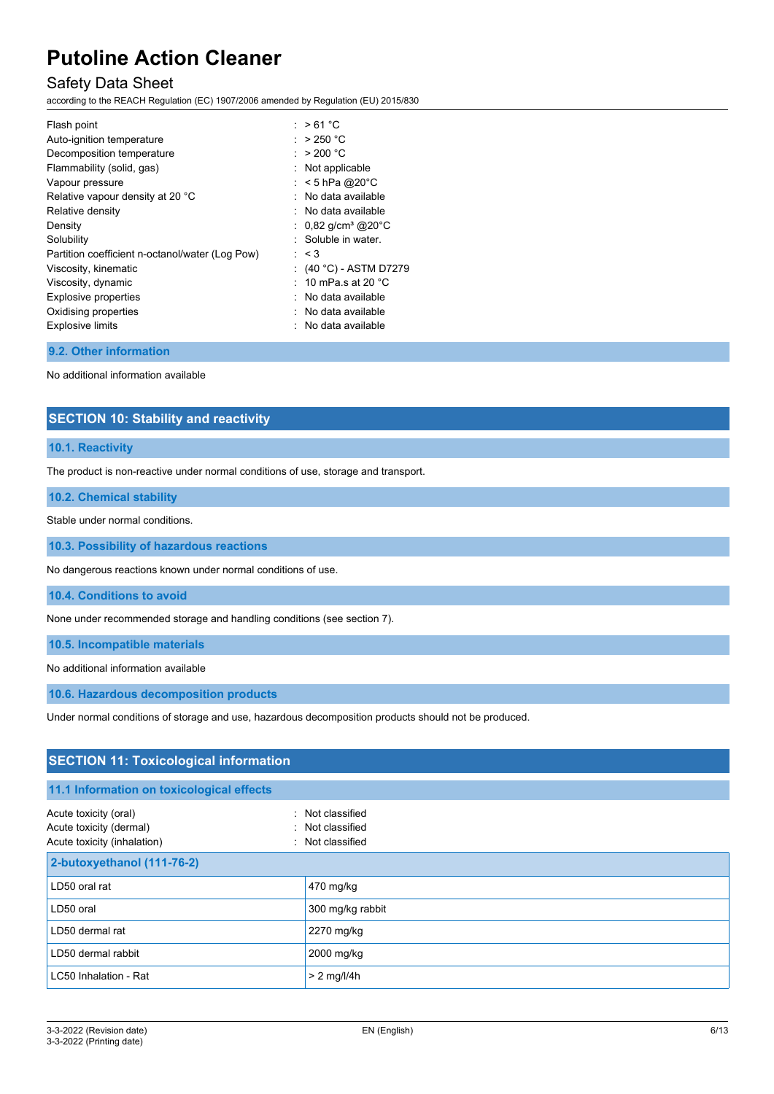## Safety Data Sheet

according to the REACH Regulation (EC) 1907/2006 amended by Regulation (EU) 2015/830

| Flash point                                     | : $>61^{\circ}$ C               |
|-------------------------------------------------|---------------------------------|
| Auto-ignition temperature                       | : $>250 °C$                     |
| Decomposition temperature                       | : $>200 °C$                     |
| Flammability (solid, gas)                       | : Not applicable                |
| Vapour pressure                                 | : $<$ 5 hPa @20°C               |
| Relative vapour density at 20 °C                | : No data available             |
| Relative density                                | $:$ No data available           |
| Density                                         | : $0,82 \text{ g/cm}^3$ @ 20 °C |
| Solubility                                      | : Soluble in water.             |
| Partition coefficient n-octanol/water (Log Pow) | : < 3                           |
| Viscosity, kinematic                            | : (40 °C) - ASTM D7279          |
| Viscosity, dynamic                              | : 10 mPa s at 20 $^{\circ}$ C   |
| Explosive properties                            | $\therefore$ No data available  |
| Oxidising properties                            | $\therefore$ No data available  |
| <b>Explosive limits</b>                         | : No data available             |
|                                                 |                                 |

#### **9.2. Other information**

No additional information available

### **SECTION 10: Stability and reactivity**

#### **10.1. Reactivity**

The product is non-reactive under normal conditions of use, storage and transport.

#### **10.2. Chemical stability**

Stable under normal conditions.

**10.3. Possibility of hazardous reactions**

No dangerous reactions known under normal conditions of use.

**10.4. Conditions to avoid**

None under recommended storage and handling conditions (see section 7).

**10.5. Incompatible materials**

No additional information available

**10.6. Hazardous decomposition products**

Under normal conditions of storage and use, hazardous decomposition products should not be produced.

## **SECTION 11: Toxicological information**

### **11.1 Information on toxicological effects**

| Acute toxicity (oral)<br>Acute toxicity (dermal)<br>Acute toxicity (inhalation) | : Not classified<br>: Not classified<br>: Not classified |
|---------------------------------------------------------------------------------|----------------------------------------------------------|
| 2-butoxyethanol (111-76-2)                                                      |                                                          |
| LD50 oral rat                                                                   | 470 mg/kg                                                |
| LD50 oral                                                                       | 300 mg/kg rabbit                                         |
| LD50 dermal rat                                                                 | 2270 mg/kg                                               |
| LD50 dermal rabbit                                                              | 2000 mg/kg                                               |
| LC50 Inhalation - Rat                                                           | $> 2$ mg/l/4h                                            |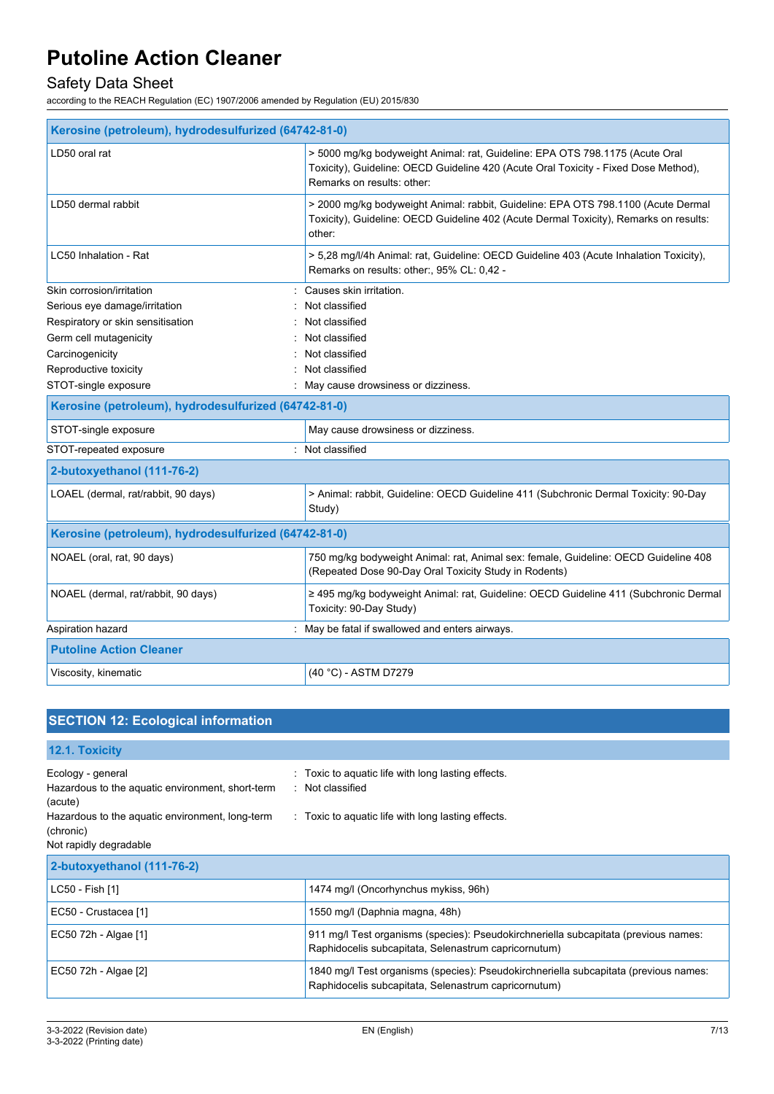# Safety Data Sheet

according to the REACH Regulation (EC) 1907/2006 amended by Regulation (EU) 2015/830

| Kerosine (petroleum), hydrodesulfurized (64742-81-0) |                                                                                                                                                                                                   |
|------------------------------------------------------|---------------------------------------------------------------------------------------------------------------------------------------------------------------------------------------------------|
| LD50 oral rat                                        | > 5000 mg/kg bodyweight Animal: rat, Guideline: EPA OTS 798.1175 (Acute Oral<br>Toxicity), Guideline: OECD Guideline 420 (Acute Oral Toxicity - Fixed Dose Method),<br>Remarks on results: other: |
| LD50 dermal rabbit                                   | > 2000 mg/kg bodyweight Animal: rabbit, Guideline: EPA OTS 798.1100 (Acute Dermal<br>Toxicity), Guideline: OECD Guideline 402 (Acute Dermal Toxicity), Remarks on results:<br>other:              |
| LC50 Inhalation - Rat                                | > 5,28 mg/l/4h Animal: rat, Guideline: OECD Guideline 403 (Acute Inhalation Toxicity),<br>Remarks on results: other:, 95% CL: 0,42 -                                                              |
| Skin corrosion/irritation                            | Causes skin irritation.                                                                                                                                                                           |
| Serious eye damage/irritation                        | Not classified                                                                                                                                                                                    |
| Respiratory or skin sensitisation                    | Not classified                                                                                                                                                                                    |
| Germ cell mutagenicity                               | Not classified                                                                                                                                                                                    |
| Carcinogenicity                                      | Not classified                                                                                                                                                                                    |
| Reproductive toxicity                                | Not classified                                                                                                                                                                                    |
| STOT-single exposure                                 | May cause drowsiness or dizziness.                                                                                                                                                                |
| Kerosine (petroleum), hydrodesulfurized (64742-81-0) |                                                                                                                                                                                                   |
| STOT-single exposure                                 | May cause drowsiness or dizziness.                                                                                                                                                                |
| STOT-repeated exposure<br>÷.                         | Not classified                                                                                                                                                                                    |
| 2-butoxyethanol (111-76-2)                           |                                                                                                                                                                                                   |
| LOAEL (dermal, rat/rabbit, 90 days)                  | > Animal: rabbit, Guideline: OECD Guideline 411 (Subchronic Dermal Toxicity: 90-Day<br>Study)                                                                                                     |
| Kerosine (petroleum), hydrodesulfurized (64742-81-0) |                                                                                                                                                                                                   |
| NOAEL (oral, rat, 90 days)                           | 750 mg/kg bodyweight Animal: rat, Animal sex: female, Guideline: OECD Guideline 408<br>(Repeated Dose 90-Day Oral Toxicity Study in Rodents)                                                      |
| NOAEL (dermal, rat/rabbit, 90 days)                  | ≥ 495 mg/kg bodyweight Animal: rat, Guideline: OECD Guideline 411 (Subchronic Dermal<br>Toxicity: 90-Day Study)                                                                                   |
| Aspiration hazard                                    | May be fatal if swallowed and enters airways.                                                                                                                                                     |
| <b>Putoline Action Cleaner</b>                       |                                                                                                                                                                                                   |
| Viscosity, kinematic                                 | (40 °C) - ASTM D7279                                                                                                                                                                              |

# **SECTION 12: Ecological information**

| 12.1. Toxicity                                                                                                                                                             |                                                                                                                                              |
|----------------------------------------------------------------------------------------------------------------------------------------------------------------------------|----------------------------------------------------------------------------------------------------------------------------------------------|
| Ecology - general<br>Hazardous to the aquatic environment, short-term<br>(acute)<br>Hazardous to the aquatic environment, long-term<br>(chronic)<br>Not rapidly degradable | Toxic to aquatic life with long lasting effects.<br>: Not classified<br>. Toxic to aquatic life with long lasting effects.                   |
| 2-butoxyethanol (111-76-2)                                                                                                                                                 |                                                                                                                                              |
| LC50 - Fish [1]                                                                                                                                                            | 1474 mg/l (Oncorhynchus mykiss, 96h)                                                                                                         |
| EC50 - Crustacea [1]                                                                                                                                                       | 1550 mg/l (Daphnia magna, 48h)                                                                                                               |
| EC50 72h - Algae [1]                                                                                                                                                       | 911 mg/l Test organisms (species): Pseudokirchneriella subcapitata (previous names:<br>Raphidocelis subcapitata, Selenastrum capricornutum)  |
| EC50 72h - Algae [2]                                                                                                                                                       | 1840 mg/l Test organisms (species): Pseudokirchneriella subcapitata (previous names:<br>Raphidocelis subcapitata, Selenastrum capricornutum) |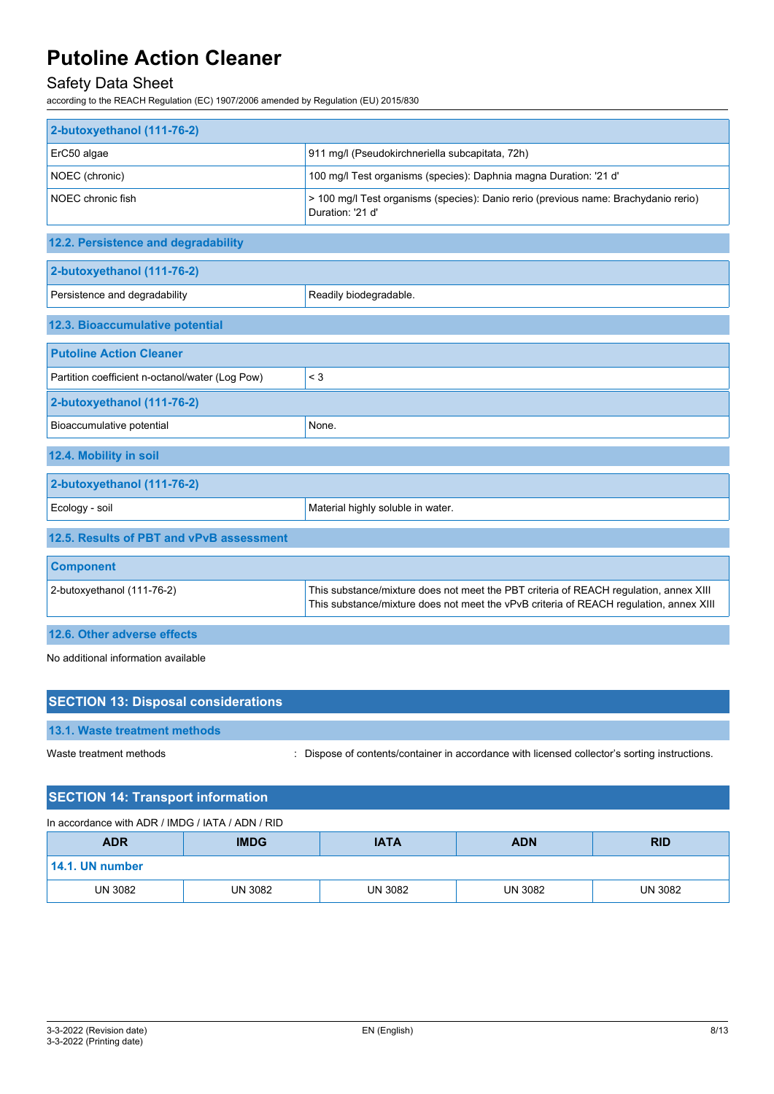# Safety Data Sheet

according to the REACH Regulation (EC) 1907/2006 amended by Regulation (EU) 2015/830

| 2-butoxyethanol (111-76-2)                      |                                                                                                                                                                                 |
|-------------------------------------------------|---------------------------------------------------------------------------------------------------------------------------------------------------------------------------------|
| ErC50 algae                                     | 911 mg/l (Pseudokirchneriella subcapitata, 72h)                                                                                                                                 |
| NOEC (chronic)                                  | 100 mg/l Test organisms (species): Daphnia magna Duration: '21 d'                                                                                                               |
| NOEC chronic fish                               | > 100 mg/l Test organisms (species): Danio rerio (previous name: Brachydanio rerio)<br>Duration: '21 d'                                                                         |
| 12.2. Persistence and degradability             |                                                                                                                                                                                 |
| 2-butoxyethanol (111-76-2)                      |                                                                                                                                                                                 |
| Persistence and degradability                   | Readily biodegradable.                                                                                                                                                          |
| 12.3. Bioaccumulative potential                 |                                                                                                                                                                                 |
| <b>Putoline Action Cleaner</b>                  |                                                                                                                                                                                 |
| Partition coefficient n-octanol/water (Log Pow) | $<$ 3                                                                                                                                                                           |
| 2-butoxyethanol (111-76-2)                      |                                                                                                                                                                                 |
| Bioaccumulative potential                       | None.                                                                                                                                                                           |
| 12.4. Mobility in soil                          |                                                                                                                                                                                 |
| 2-butoxyethanol (111-76-2)                      |                                                                                                                                                                                 |
| Ecology - soil                                  | Material highly soluble in water.                                                                                                                                               |
| 12.5. Results of PBT and vPvB assessment        |                                                                                                                                                                                 |
| <b>Component</b>                                |                                                                                                                                                                                 |
| 2-butoxyethanol (111-76-2)                      | This substance/mixture does not meet the PBT criteria of REACH regulation, annex XIII<br>This substance/mixture does not meet the vPvB criteria of REACH regulation, annex XIII |
| 12.6. Other adverse effects                     |                                                                                                                                                                                 |

No additional information available

| <b>SECTION 13: Disposal considerations</b> |                                                                                               |
|--------------------------------------------|-----------------------------------------------------------------------------------------------|
| 13.1. Waste treatment methods              |                                                                                               |
| Waste treatment methods                    | : Dispose of contents/container in accordance with licensed collector's sorting instructions. |

## **SECTION 14: Transport information**

### In accordance with ADR / IMDG / IATA / ADN / RID

| <b>ADR</b>      | <b>IMDG</b>    | <b>IATA</b>    | <b>ADN</b>     | <b>RID</b>     |
|-----------------|----------------|----------------|----------------|----------------|
| 14.1. UN number |                |                |                |                |
| <b>UN 3082</b>  | <b>UN 3082</b> | <b>UN 3082</b> | <b>UN 3082</b> | <b>UN 3082</b> |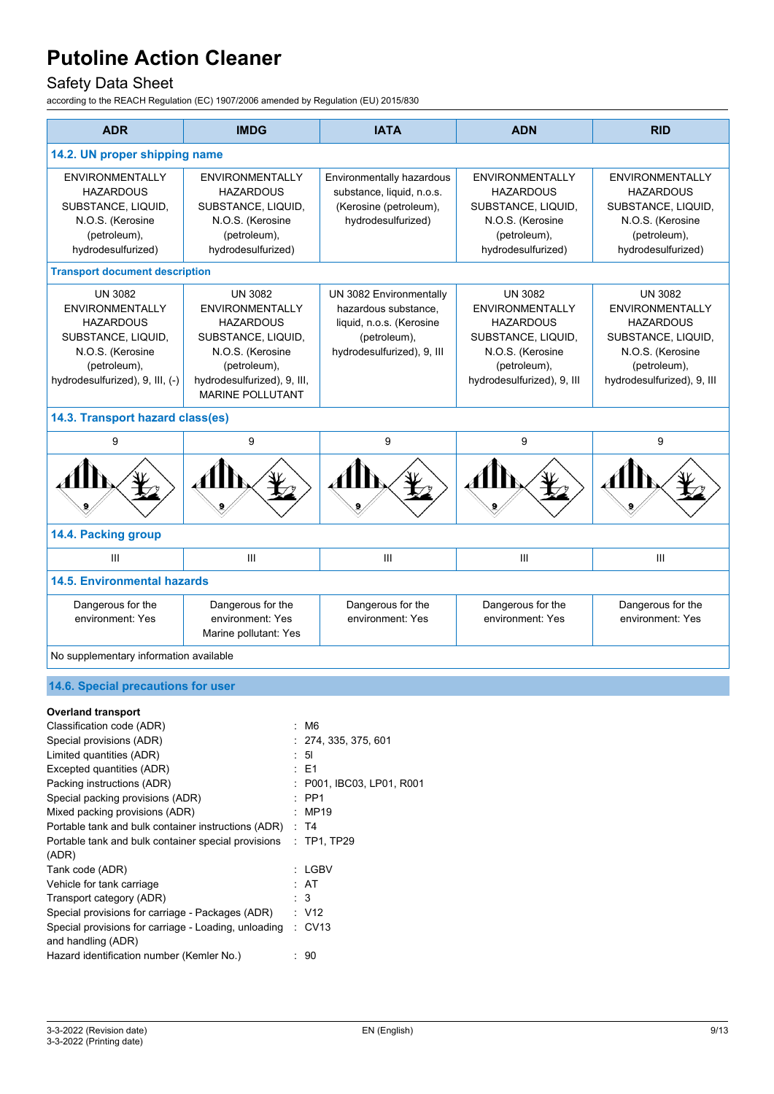# Safety Data Sheet

according to the REACH Regulation (EC) 1907/2006 amended by Regulation (EU) 2015/830

| <b>ADR</b>                                                                                                                                         | <b>IMDG</b>                                                                                                                                                                      | <b>IATA</b>                                                                                                               | <b>ADN</b>                                                                                                                                           | <b>RID</b>                                                                                                                                           |  |
|----------------------------------------------------------------------------------------------------------------------------------------------------|----------------------------------------------------------------------------------------------------------------------------------------------------------------------------------|---------------------------------------------------------------------------------------------------------------------------|------------------------------------------------------------------------------------------------------------------------------------------------------|------------------------------------------------------------------------------------------------------------------------------------------------------|--|
| 14.2. UN proper shipping name                                                                                                                      |                                                                                                                                                                                  |                                                                                                                           |                                                                                                                                                      |                                                                                                                                                      |  |
| <b>ENVIRONMENTALLY</b><br><b>HAZARDOUS</b><br>SUBSTANCE, LIQUID,<br>N.O.S. (Kerosine<br>(petroleum),<br>hydrodesulfurized)                         | <b>ENVIRONMENTALLY</b><br><b>HAZARDOUS</b><br>SUBSTANCE, LIQUID,<br>N.O.S. (Kerosine<br>(petroleum),<br>hydrodesulfurized)                                                       | Environmentally hazardous<br>substance, liquid, n.o.s.<br>(Kerosine (petroleum),<br>hydrodesulfurized)                    | <b>ENVIRONMENTALLY</b><br><b>HAZARDOUS</b><br>SUBSTANCE, LIQUID,<br>N.O.S. (Kerosine<br>(petroleum),<br>hydrodesulfurized)                           | <b>ENVIRONMENTALLY</b><br><b>HAZARDOUS</b><br>SUBSTANCE, LIQUID,<br>N.O.S. (Kerosine<br>(petroleum),<br>hydrodesulfurized)                           |  |
| <b>Transport document description</b>                                                                                                              |                                                                                                                                                                                  |                                                                                                                           |                                                                                                                                                      |                                                                                                                                                      |  |
| <b>UN 3082</b><br>ENVIRONMENTALLY<br><b>HAZARDOUS</b><br>SUBSTANCE, LIQUID,<br>N.O.S. (Kerosine<br>(petroleum),<br>hydrodesulfurized), 9, III, (-) | <b>UN 3082</b><br><b>ENVIRONMENTALLY</b><br><b>HAZARDOUS</b><br>SUBSTANCE, LIQUID,<br>N.O.S. (Kerosine<br>(petroleum),<br>hydrodesulfurized), 9, III,<br><b>MARINE POLLUTANT</b> | UN 3082 Environmentally<br>hazardous substance.<br>liquid, n.o.s. (Kerosine<br>(petroleum),<br>hydrodesulfurized), 9, III | <b>UN 3082</b><br><b>ENVIRONMENTALLY</b><br><b>HAZARDOUS</b><br>SUBSTANCE, LIQUID,<br>N.O.S. (Kerosine<br>(petroleum),<br>hydrodesulfurized), 9, III | <b>UN 3082</b><br><b>ENVIRONMENTALLY</b><br><b>HAZARDOUS</b><br>SUBSTANCE, LIQUID,<br>N.O.S. (Kerosine<br>(petroleum),<br>hydrodesulfurized), 9, III |  |
| 14.3. Transport hazard class(es)                                                                                                                   |                                                                                                                                                                                  |                                                                                                                           |                                                                                                                                                      |                                                                                                                                                      |  |
| 9                                                                                                                                                  | 9                                                                                                                                                                                | 9                                                                                                                         | 9                                                                                                                                                    | 9                                                                                                                                                    |  |
|                                                                                                                                                    |                                                                                                                                                                                  |                                                                                                                           |                                                                                                                                                      |                                                                                                                                                      |  |
| 14.4. Packing group                                                                                                                                |                                                                                                                                                                                  |                                                                                                                           |                                                                                                                                                      |                                                                                                                                                      |  |
| III                                                                                                                                                | III                                                                                                                                                                              | III                                                                                                                       | III                                                                                                                                                  | III                                                                                                                                                  |  |
| <b>14.5. Environmental hazards</b>                                                                                                                 |                                                                                                                                                                                  |                                                                                                                           |                                                                                                                                                      |                                                                                                                                                      |  |
| Dangerous for the<br>environment: Yes                                                                                                              | Dangerous for the<br>environment: Yes<br>Marine pollutant: Yes                                                                                                                   | Dangerous for the<br>environment: Yes                                                                                     | Dangerous for the<br>environment: Yes                                                                                                                | Dangerous for the<br>environment: Yes                                                                                                                |  |
| No supplementary information available                                                                                                             |                                                                                                                                                                                  |                                                                                                                           |                                                                                                                                                      |                                                                                                                                                      |  |

### **14.6. Special precautions for user**

### **Overland transport**

| Classification code (ADR)                            | : M6                    |
|------------------------------------------------------|-------------------------|
| Special provisions (ADR)                             | : 274, 335, 375, 601    |
| Limited quantities (ADR)                             | : 51                    |
| Excepted quantities (ADR)                            | $\pm$ E1                |
| Packing instructions (ADR)                           | P001, IBC03, LP01, R001 |
| Special packing provisions (ADR)                     | $\therefore$ PP1        |
| Mixed packing provisions (ADR)                       | : MP19                  |
| Portable tank and bulk container instructions (ADR)  | : T4                    |
| Portable tank and bulk container special provisions  | $:$ TP1, TP29           |
| (ADR)                                                |                         |
| Tank code (ADR)                                      | : LGBV                  |
| Vehicle for tank carriage                            | : AT                    |
| Transport category (ADR)                             | : 3                     |
| Special provisions for carriage - Packages (ADR)     | : V12                   |
| Special provisions for carriage - Loading, unloading | $\therefore$ CV13       |
| and handling (ADR)                                   |                         |
| Hazard identification number (Kemler No.)            | 90                      |
|                                                      |                         |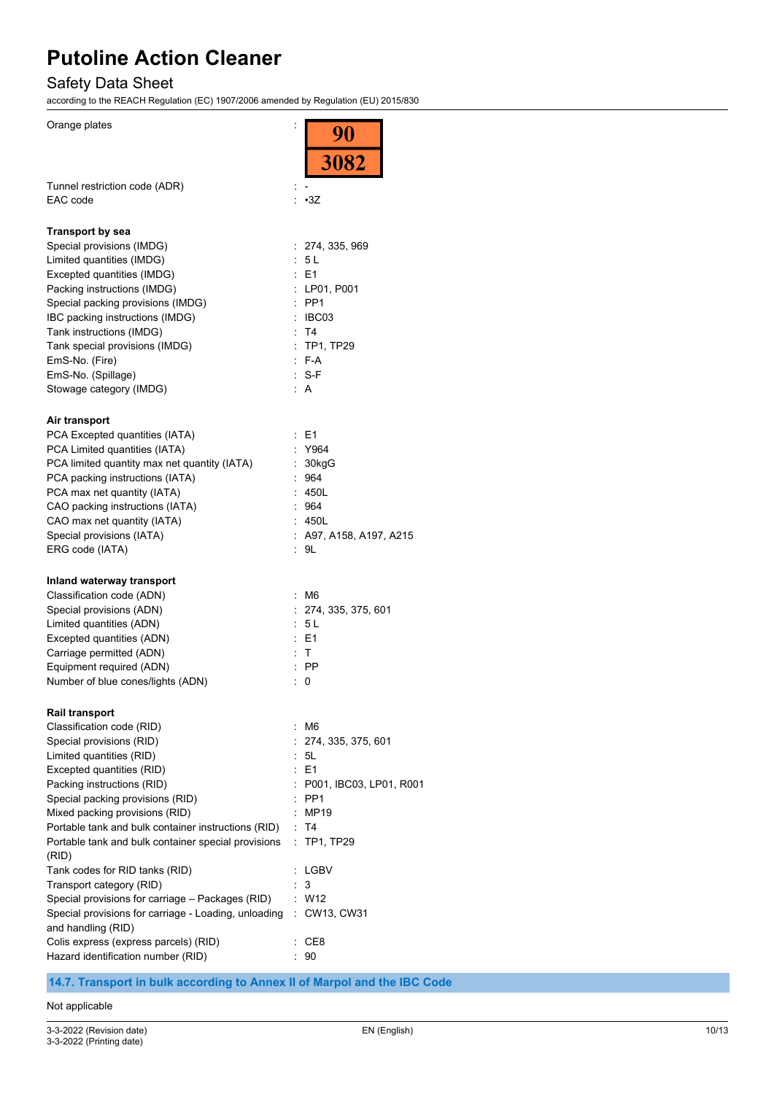# Safety Data Sheet

according to the REACH Regulation (EC) 1907/2006 amended by Regulation (EU) 2015/830

| Orange plates                                                                   | $\frac{90}{3082}$          |
|---------------------------------------------------------------------------------|----------------------------|
|                                                                                 |                            |
| Tunnel restriction code (ADR)                                                   |                            |
| EAC code                                                                        | : 3Z                       |
| <b>Transport by sea</b>                                                         |                            |
| Special provisions (IMDG)                                                       | 274, 335, 969              |
| Limited quantities (IMDG)                                                       | : 5L                       |
| Excepted quantities (IMDG)                                                      | $E = 1$                    |
| Packing instructions (IMDG)                                                     | : LP01, P001               |
| Special packing provisions (IMDG)                                               | $:$ PP1                    |
| IBC packing instructions (IMDG)<br>Tank instructions (IMDG)                     | $\therefore$ IBC03<br>: T4 |
| Tank special provisions (IMDG)                                                  | : TP1, TP29                |
| EmS-No. (Fire)                                                                  | $F-A$                      |
| EmS-No. (Spillage)                                                              | : S-F                      |
| Stowage category (IMDG)                                                         | : A                        |
|                                                                                 |                            |
| Air transport                                                                   |                            |
| PCA Excepted quantities (IATA)                                                  | E1                         |
| PCA Limited quantities (IATA)                                                   | : Y964                     |
| PCA limited quantity max net quantity (IATA)<br>PCA packing instructions (IATA) | : 30kgG<br>964             |
| PCA max net quantity (IATA)                                                     | 450L                       |
| CAO packing instructions (IATA)                                                 | : 964                      |
| CAO max net quantity (IATA)                                                     | : 450L                     |
| Special provisions (IATA)                                                       | $:$ A97, A158, A197, A215  |
| ERG code (IATA)                                                                 | : 9L                       |
| Inland waterway transport                                                       |                            |
| Classification code (ADN)                                                       | M6                         |
| Special provisions (ADN)                                                        | 274, 335, 375, 601         |
| Limited quantities (ADN)                                                        | : 5 L                      |
| Excepted quantities (ADN)                                                       | E1                         |
| Carriage permitted (ADN)                                                        | : T                        |
| Equipment required (ADN)                                                        | $:$ PP                     |
| Number of blue cones/lights (ADN)                                               | 0                          |
| <b>Rail transport</b>                                                           |                            |
| Classification code (RID)                                                       | M6                         |
| Special provisions (RID)                                                        | 274, 335, 375, 601         |
| Limited quantities (RID)                                                        | : 5L                       |
| Excepted quantities (RID)                                                       | : E1                       |
| Packing instructions (RID)                                                      | : P001, IBC03, LP01, R001  |
| Special packing provisions (RID)                                                | $:$ PP1                    |
| Mixed packing provisions (RID)                                                  | MP19                       |
| Portable tank and bulk container instructions (RID)                             | T <sub>4</sub>             |
| Portable tank and bulk container special provisions<br>(RID)                    | TP1, TP29                  |
| Tank codes for RID tanks (RID)                                                  | LGBV                       |
| Transport category (RID)                                                        | 3                          |
| Special provisions for carriage - Packages (RID)                                | : W12                      |
| Special provisions for carriage - Loading, unloading                            | : CW13, CW31               |
| and handling (RID)                                                              |                            |
| Colis express (express parcels) (RID)<br>Hazard identification number (RID)     | CE8<br>90                  |
|                                                                                 |                            |

**14.7. Transport in bulk according to Annex II of Marpol and the IBC Code**

### Not applicable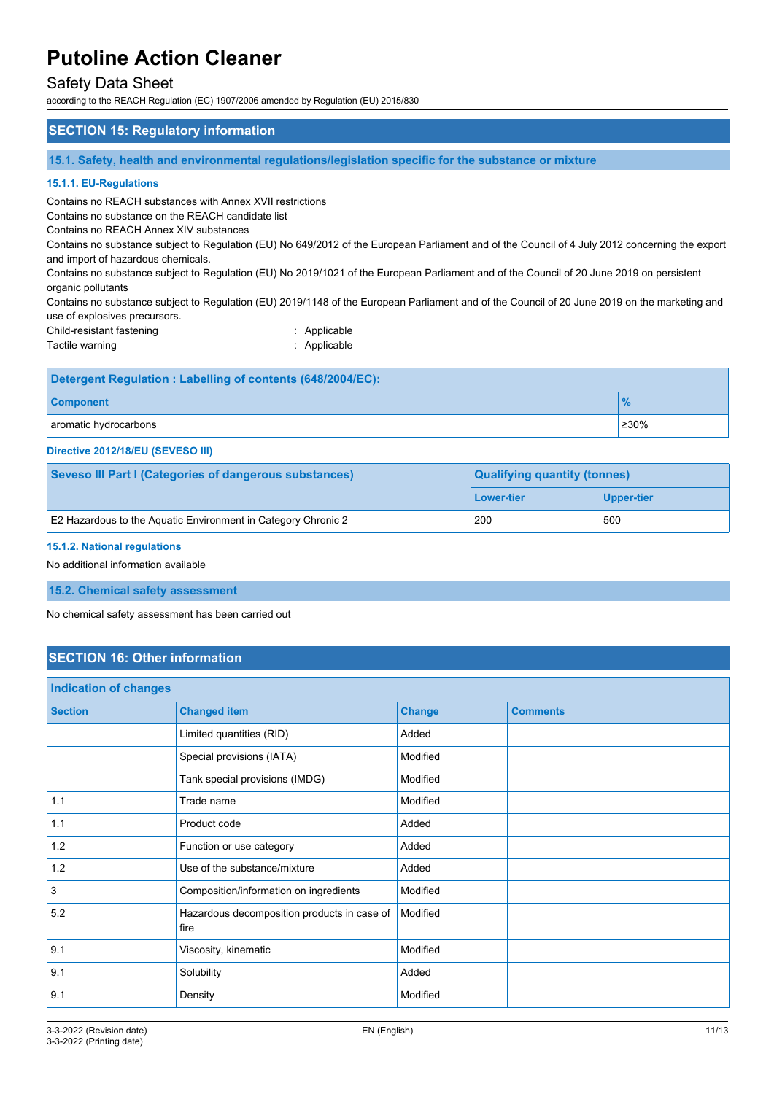### Safety Data Sheet

according to the REACH Regulation (EC) 1907/2006 amended by Regulation (EU) 2015/830

## **SECTION 15: Regulatory information 15.1. Safety, health and environmental regulations/legislation specific for the substance or mixture 15.1.1. EU-Regulations** Contains no REACH substances with Annex XVII restrictions Contains no substance on the REACH candidate list Contains no REACH Annex XIV substances Contains no substance subject to Regulation (EU) No 649/2012 of the European Parliament and of the Council of 4 July 2012 concerning the export and import of hazardous chemicals. Contains no substance subject to Regulation (EU) No 2019/1021 of the European Parliament and of the Council of 20 June 2019 on persistent organic pollutants Contains no substance subject to Regulation (EU) 2019/1148 of the European Parliament and of the Council of 20 June 2019 on the marketing and use of explosives precursors. Child-resistant fastening **in the control of the Child-**resistant fastening **in the control of the Child-**Tactile warning **in the case of the California** Contractive Contraction of the Applicable **Detergent Regulation : Labelling of contents (648/2004/EC):**

| $\sim$<br><b>omponent</b> |                    |
|---------------------------|--------------------|
| aromatic hydrocarbons     | $\frac{1}{2}$ ≥30% |

#### **Directive 2012/18/EU (SEVESO III)**

| <b>Seveso III Part I (Categories of dangerous substances)</b> | <b>Qualifying quantity (tonnes)</b> |                   |
|---------------------------------------------------------------|-------------------------------------|-------------------|
|                                                               | Lower-tier                          | <b>Upper-tier</b> |
| E2 Hazardous to the Aquatic Environment in Category Chronic 2 | 200                                 | 500               |

#### **15.1.2. National regulations**

No additional information available

#### **15.2. Chemical safety assessment**

No chemical safety assessment has been carried out

## **SECTION 16: Other information**

| <b>Indication of changes</b> |                                                     |               |                 |
|------------------------------|-----------------------------------------------------|---------------|-----------------|
| <b>Section</b>               | <b>Changed item</b>                                 | <b>Change</b> | <b>Comments</b> |
|                              | Limited quantities (RID)                            | Added         |                 |
|                              | Special provisions (IATA)                           | Modified      |                 |
|                              | Tank special provisions (IMDG)                      | Modified      |                 |
| 1.1                          | Trade name                                          | Modified      |                 |
| 1.1                          | Product code                                        | Added         |                 |
| 1.2                          | Function or use category                            | Added         |                 |
| 1.2                          | Use of the substance/mixture                        | Added         |                 |
| $\overline{\mathbf{3}}$      | Composition/information on ingredients              | Modified      |                 |
| 5.2                          | Hazardous decomposition products in case of<br>fire | Modified      |                 |
| 9.1                          | Viscosity, kinematic                                | Modified      |                 |
| 9.1                          | Solubility                                          | Added         |                 |
| 9.1                          | Density                                             | Modified      |                 |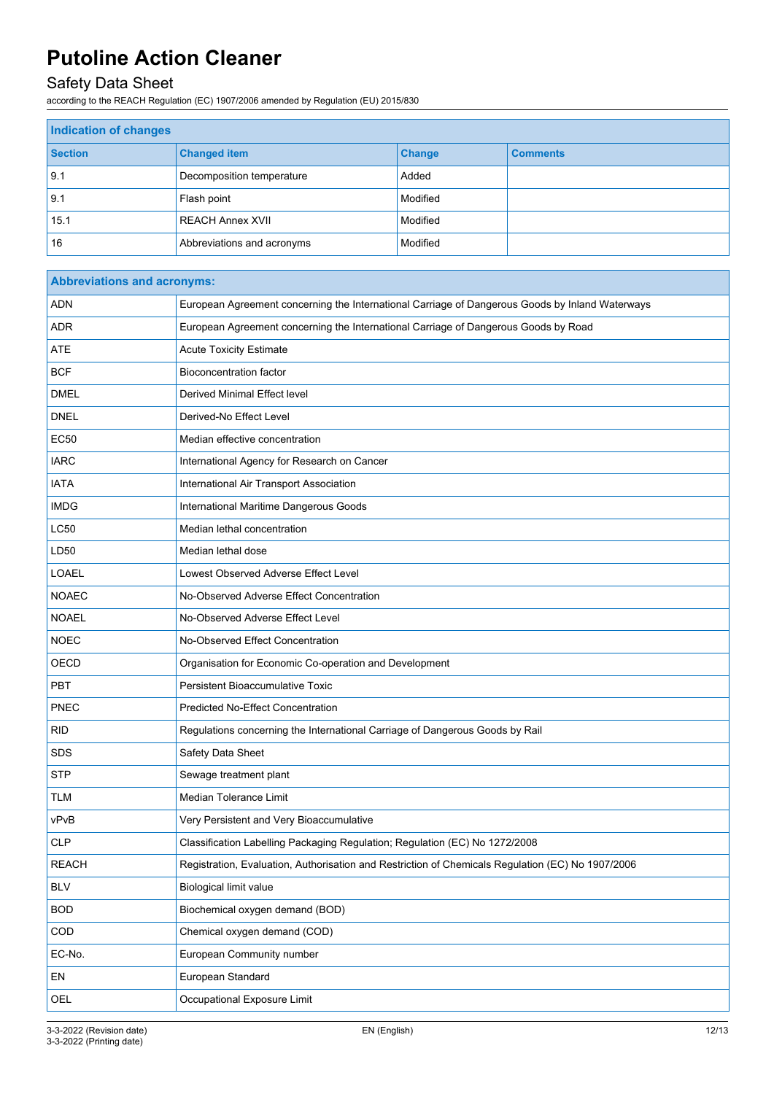# Safety Data Sheet

according to the REACH Regulation (EC) 1907/2006 amended by Regulation (EU) 2015/830

| <b>Indication of changes</b> |                            |               |                 |
|------------------------------|----------------------------|---------------|-----------------|
| <b>Section</b>               | <b>Changed item</b>        | <b>Change</b> | <b>Comments</b> |
| 9.1                          | Decomposition temperature  | Added         |                 |
| 9.1                          | Flash point                | Modified      |                 |
| 15.1                         | <b>REACH Annex XVII</b>    | Modified      |                 |
| 16                           | Abbreviations and acronyms | Modified      |                 |

| <b>Abbreviations and acronyms:</b> |                                                                                                   |  |
|------------------------------------|---------------------------------------------------------------------------------------------------|--|
| <b>ADN</b>                         | European Agreement concerning the International Carriage of Dangerous Goods by Inland Waterways   |  |
| <b>ADR</b>                         | European Agreement concerning the International Carriage of Dangerous Goods by Road               |  |
| ATE                                | <b>Acute Toxicity Estimate</b>                                                                    |  |
| <b>BCF</b>                         | <b>Bioconcentration factor</b>                                                                    |  |
| <b>DMEL</b>                        | Derived Minimal Effect level                                                                      |  |
| <b>DNEL</b>                        | Derived-No Effect Level                                                                           |  |
| <b>EC50</b>                        | Median effective concentration                                                                    |  |
| <b>IARC</b>                        | International Agency for Research on Cancer                                                       |  |
| <b>IATA</b>                        | International Air Transport Association                                                           |  |
| <b>IMDG</b>                        | International Maritime Dangerous Goods                                                            |  |
| <b>LC50</b>                        | Median lethal concentration                                                                       |  |
| LD50                               | Median lethal dose                                                                                |  |
| <b>LOAEL</b>                       | Lowest Observed Adverse Effect Level                                                              |  |
| <b>NOAEC</b>                       | No-Observed Adverse Effect Concentration                                                          |  |
| <b>NOAEL</b>                       | No-Observed Adverse Effect Level                                                                  |  |
| <b>NOEC</b>                        | No-Observed Effect Concentration                                                                  |  |
| <b>OECD</b>                        | Organisation for Economic Co-operation and Development                                            |  |
| PBT                                | <b>Persistent Bioaccumulative Toxic</b>                                                           |  |
| PNEC                               | <b>Predicted No-Effect Concentration</b>                                                          |  |
| <b>RID</b>                         | Regulations concerning the International Carriage of Dangerous Goods by Rail                      |  |
| SDS                                | Safety Data Sheet                                                                                 |  |
| <b>STP</b>                         | Sewage treatment plant                                                                            |  |
| TLM                                | Median Tolerance Limit                                                                            |  |
| vPvB                               | Very Persistent and Very Bioaccumulative                                                          |  |
| <b>CLP</b>                         | Classification Labelling Packaging Regulation; Regulation (EC) No 1272/2008                       |  |
| <b>REACH</b>                       | Registration, Evaluation, Authorisation and Restriction of Chemicals Regulation (EC) No 1907/2006 |  |
| <b>BLV</b>                         | <b>Biological limit value</b>                                                                     |  |
| <b>BOD</b>                         | Biochemical oxygen demand (BOD)                                                                   |  |
| COD                                | Chemical oxygen demand (COD)                                                                      |  |
| EC-No.                             | European Community number                                                                         |  |
| EN                                 | European Standard                                                                                 |  |
| OEL                                | Occupational Exposure Limit                                                                       |  |